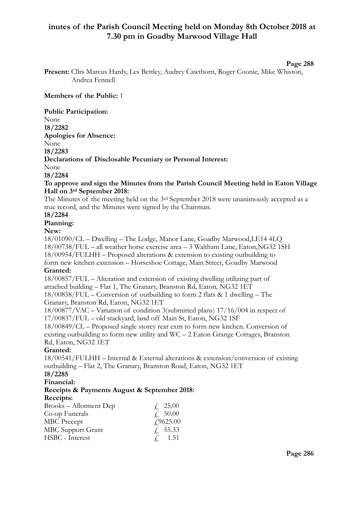# **inutes of the Parish Council Meeting held on Monday 8th October 2018 at 7.30 pm in Goadby Marwood Village Hall**

#### **Page 288**

**Present:** Cllrs Marcus Hardy, Les Bettley, Audrey Cawthorn, Roger Coonie, Mike Whiston, Andrea Fennell

#### **Members of the Public:** 1

**Public Participation:**  None **18/2282 Apologies for Absence:**  None **18/2283 Declarations of Disclosable Pecuniary or Personal Interest:** None **18/2284 To approve and sign the Minutes from the Parish Council Meeting held in Eaton Village Hall on 3rd September 2018:**  The Minutes of the meeting held on the 3rd September 2018 were unanimously accepted as a true record, and the Minutes were signed by the Chairman. **18/2284 Planning: New:**  18/01090/CL – Dwelling – The Lodge, Manor Lane, Goadby Marwood,LE14 4LQ 18/00738/FUL – all weather horse exercise area – 3 Waltham Lane, Eaton,NG32 1SH 18/00954/FULHH – Proposed alterations & extension to existing outbuilding to form new kitchen extension – Horseshoe Cottage, Main Street, Goadby Marwood **Granted:** 18/00857/FUL – Alteration and extension of existing dwelling utilizing part of attached building – Flat 1, The Granary, Branston Rd, Eaton, NG32 1ET 18/00858/FUL – Conversion of outbuilding to form 2 flats & 1 dwelling – The Granary, Branston Rd, Eaton, NG32 1ET 18/00877/VAC – Variation of condition 3(submitted plans) 17/16/004 in respect of 17/00837/FUL – old stackyard, land off Main St, Eaton, NG32 1SF 18/00849/CL – Proposed single storey rear extn to form new kitchen. Conversion of existing outbuilding to form new utility and  $WC - 2$  Eaton Grange Cottages, Branston Rd, Eaton, NG32 1ET **Granted:** 18/00541/FULHH – Internal & External alterations & extension/conversion of existing outbuilding – Flat 2, The Granary, Branston Road, Eaton, NG32 1ET **18/2285 Financial: Receipts & Payments August & September 2018: Receipts:**

| Brooks – Allotment Dep   | f. 25.00      |
|--------------------------|---------------|
| Co-op Funerals           | f. 50.00      |
| <b>MBC</b> Precept       | £9625.00      |
| <b>MBC</b> Support Grant | f. 55.33      |
| HSBC - Interest          | $\neq$ , 1.51 |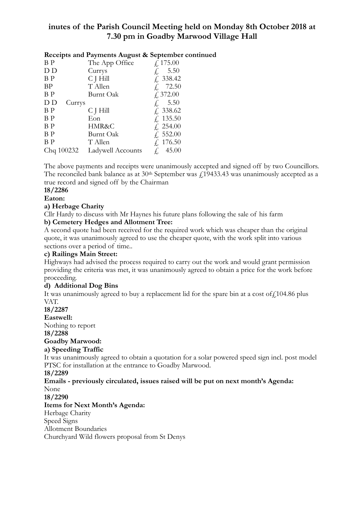# **inutes of the Parish Council Meeting held on Monday 8th October 2018 at 7.30 pm in Goadby Marwood Village Hall**

|                | receipts and rayments August & September Co |                    |
|----------------|---------------------------------------------|--------------------|
| B <sub>P</sub> | The App Office                              | $f_{\rm L}$ 175.00 |
| D D            | Currys                                      | 5.50               |
| B <sub>P</sub> | C J Hill                                    | $\&$ 338.42        |
| <b>BP</b>      | T Allen                                     | £ 72.50            |
| B <sub>P</sub> | Burnt Oak                                   | f, 372.00          |
| D D<br>Currys  |                                             | 5.50               |
| B <sub>P</sub> | C J Hill                                    | $\&$ 338.62        |
| B <sub>P</sub> | Eon                                         | $\& 135.50$        |
| B <sub>P</sub> | HMR&C                                       | $\& 254.00$        |
| B <sub>P</sub> | Burnt Oak                                   | £ 552.00           |
| B <sub>P</sub> | T Allen                                     | £ 176.50           |
| Chq 100232     | Ladywell Accounts                           | 45.00              |

**Receipts and Payments August & September continued**

The above payments and receipts were unanimously accepted and signed off by two Councillors. The reconciled bank balance as at  $30<sup>th</sup>$  September was  $\ell$ 19433.43 was unanimously accepted as a true record and signed off by the Chairman

# **18/2286**

# **Eaton:**

## **a) Herbage Charity**

Cllr Hardy to discuss with Mr Haynes his future plans following the sale of his farm **b) Cemetery Hedges and Allotment Tree:** 

A second quote had been received for the required work which was cheaper than the original quote, it was unanimously agreed to use the cheaper quote, with the work split into various sections over a period of time..

## **c) Railings Main Street:**

Highways had advised the process required to carry out the work and would grant permission providing the criteria was met, it was unanimously agreed to obtain a price for the work before proceeding.

# **d) Additional Dog Bins**

It was unanimously agreed to buy a replacement lid for the spare bin at a cost of  $f$  104.86 plus VAT.

## **18/2287**

**Eastwell:** 

Nothing to report

**18/2288** 

## **Goadby Marwood:**

## **a) Speeding Traffic**

It was unanimously agreed to obtain a quotation for a solar powered speed sign incl. post model PTSC for installation at the entrance to Goadby Marwood.

## **18/2289**

#### **Emails - previously circulated, issues raised will be put on next month's Agenda:**  None

**18/2290** 

# **Items for Next Month's Agenda:**

Herbage Charity

Speed Signs

Allotment Boundaries

Churchyard Wild flowers proposal from St Denys